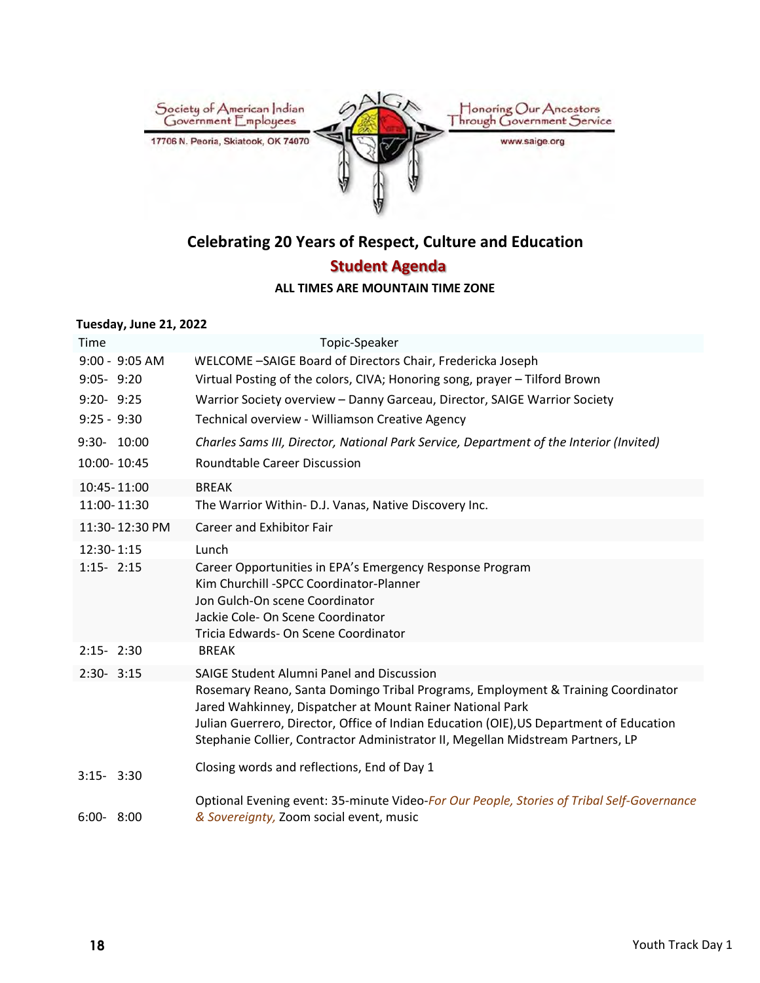

# **Celebrating 20 Years of Respect, Culture and Education Student Agenda**

## **ALL TIMES ARE MOUNTAIN TIME ZONE**

## **Tuesday, June 21, 2022**

| Time           | Topic-Speaker                                                                                                                                                                                                                                                                                                               |
|----------------|-----------------------------------------------------------------------------------------------------------------------------------------------------------------------------------------------------------------------------------------------------------------------------------------------------------------------------|
| 9:00 - 9:05 AM | WELCOME -SAIGE Board of Directors Chair, Fredericka Joseph                                                                                                                                                                                                                                                                  |
| $9:05 - 9:20$  | Virtual Posting of the colors, CIVA; Honoring song, prayer - Tilford Brown                                                                                                                                                                                                                                                  |
| $9:20 - 9:25$  | Warrior Society overview - Danny Garceau, Director, SAIGE Warrior Society                                                                                                                                                                                                                                                   |
| $9:25 - 9:30$  | Technical overview - Williamson Creative Agency                                                                                                                                                                                                                                                                             |
| 9:30- 10:00    | Charles Sams III, Director, National Park Service, Department of the Interior (Invited)                                                                                                                                                                                                                                     |
| 10:00-10:45    | <b>Roundtable Career Discussion</b>                                                                                                                                                                                                                                                                                         |
| 10:45-11:00    | <b>BREAK</b>                                                                                                                                                                                                                                                                                                                |
| 11:00-11:30    | The Warrior Within- D.J. Vanas, Native Discovery Inc.                                                                                                                                                                                                                                                                       |
| 11:30-12:30 PM | Career and Exhibitor Fair                                                                                                                                                                                                                                                                                                   |
| 12:30-1:15     | Lunch                                                                                                                                                                                                                                                                                                                       |
| $1:15 - 2:15$  | Career Opportunities in EPA's Emergency Response Program<br>Kim Churchill -SPCC Coordinator-Planner<br>Jon Gulch-On scene Coordinator<br>Jackie Cole- On Scene Coordinator<br>Tricia Edwards- On Scene Coordinator                                                                                                          |
| $2:15 - 2:30$  | <b>BREAK</b>                                                                                                                                                                                                                                                                                                                |
| $2:30 - 3:15$  | <b>SAIGE Student Alumni Panel and Discussion</b>                                                                                                                                                                                                                                                                            |
|                | Rosemary Reano, Santa Domingo Tribal Programs, Employment & Training Coordinator<br>Jared Wahkinney, Dispatcher at Mount Rainer National Park<br>Julian Guerrero, Director, Office of Indian Education (OIE), US Department of Education<br>Stephanie Collier, Contractor Administrator II, Megellan Midstream Partners, LP |
| $3:15 - 3:30$  | Closing words and reflections, End of Day 1                                                                                                                                                                                                                                                                                 |
| $6:00 - 8:00$  | Optional Evening event: 35-minute Video-For Our People, Stories of Tribal Self-Governance<br>& Sovereignty, Zoom social event, music                                                                                                                                                                                        |